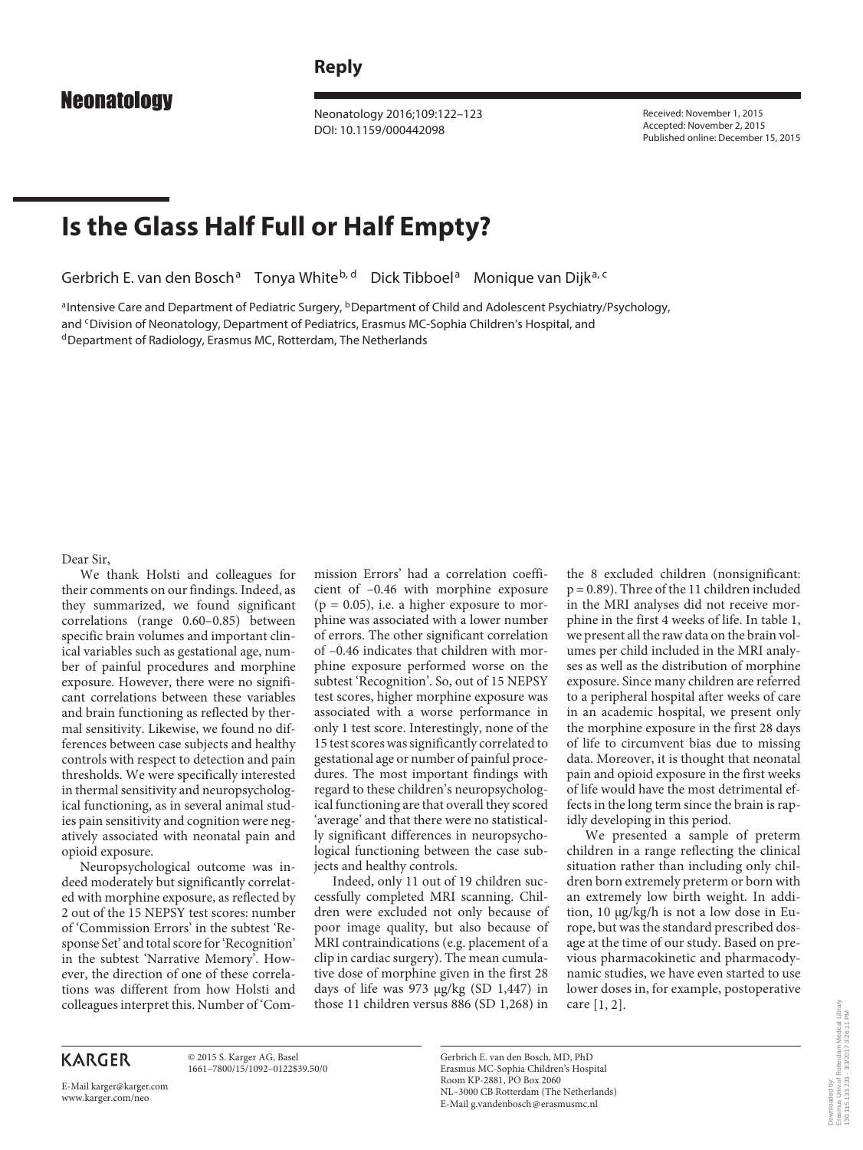## **Reply**

 Neonatology 2016;109:122–123 DOI: 10.1159/000442098

 Received: November 1, 2015 Accepted: November 2, 2015 Published online: December 15, 2015

## **Is the Glass Half Full or Half Empty?**

Gerbrich E. van den Bosch<sup>a</sup> Tonya White<sup>b, d</sup> Dick Tibboel<sup>a</sup> Monique van Dijk<sup>a, c</sup>

a Intensive Care and Department of Pediatric Surgery, <sup>b</sup> Department of Child and Adolescent Psychiatry/Psychology, and <sup>c</sup> Division of Neonatology, Department of Pediatrics, Erasmus MC-Sophia Children's Hospital, and d Department of Radiology, Erasmus MC, Rotterdam, The Netherlands

Dear Sir,

 We thank Holsti and colleagues for their comments on our findings. Indeed, as they summarized, we found significant correlations (range 0.60–0.85) between specific brain volumes and important clinical variables such as gestational age, number of painful procedures and morphine exposure. However, there were no significant correlations between these variables and brain functioning as reflected by thermal sensitivity. Likewise, we found no differences between case subjects and healthy controls with respect to detection and pain thresholds. We were specifically interested in thermal sensitivity and neuropsychological functioning, as in several animal studies pain sensitivity and cognition were negatively associated with neonatal pain and opioid exposure.

 Neuropsychological outcome was indeed moderately but significantly correlated with morphine exposure, as reflected by 2 out of the 15 NEPSY test scores: number of 'Commission Errors' in the subtest 'Response Set' and total score for 'Recognition' in the subtest 'Narrative Memory'. However, the direction of one of these correlations was different from how Holsti and colleagues interpret this. Number of 'Commission Errors' had a correlation coefficient of –0.46 with morphine exposure  $(p = 0.05)$ , i.e. a higher exposure to morphine was associated with a lower number of errors. The other significant correlation of –0.46 indicates that children with morphine exposure performed worse on the subtest 'Recognition'. So, out of 15 NEPSY test scores, higher morphine exposure was associated with a worse performance in only 1 test score. Interestingly, none of the 15 test scores was significantly correlated to gestational age or number of painful procedures. The most important findings with regard to these children's neuropsychological functioning are that overall they scored 'average' and that there were no statistically significant differences in neuropsychological functioning between the case subjects and healthy controls.

 Indeed, only 11 out of 19 children successfully completed MRI scanning. Children were excluded not only because of poor image quality, but also because of MRI contraindications (e.g. placement of a clip in cardiac surgery). The mean cumulative dose of morphine given in the first 28 days of life was 973 μg/kg (SD 1,447) in those 11 children versus 886 (SD 1,268) in

the 8 excluded children (nonsignificant: p = 0.89). Three of the 11 children included in the MRI analyses did not receive morphine in the first 4 weeks of life. In table 1, we present all the raw data on the brain volumes per child included in the MRI analyses as well as the distribution of morphine exposure. Since many children are referred to a peripheral hospital after weeks of care in an academic hospital, we present only the morphine exposure in the first 28 days of life to circumvent bias due to missing data. Moreover, it is thought that neonatal pain and opioid exposure in the first weeks of life would have the most detrimental effects in the long term since the brain is rapidly developing in this period.

 We presented a sample of preterm children in a range reflecting the clinical situation rather than including only children born extremely preterm or born with an extremely low birth weight. In addition, 10 μg/kg/h is not a low dose in Europe, but was the standard prescribed dosage at the time of our study. Based on previous pharmacokinetic and pharmacodynamic studies, we have even started to use lower doses in, for example, postoperative care [1, 2] .

## **KARGER**

 © 2015 S. Karger AG, Basel 1661–7800/15/1092–0122\$39.50/0

E-Mail karger@karger.com www.karger.com/neo

 Gerbrich E. van den Bosch, MD, PhD Erasmus MC-Sophia Children's Hospital Room KP-2881, PO Box 2060 NL–3000 CB Rotterdam (The Netherlands) E-Mail g.vandenbosch @ erasmusmc.nl